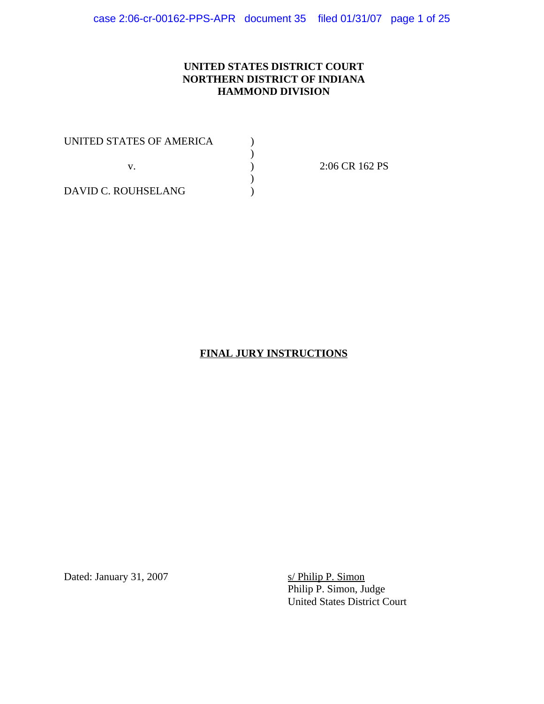## **UNITED STATES DISTRICT COURT NORTHERN DISTRICT OF INDIANA HAMMOND DIVISION**

| UNITED STATES OF AMERICA |  |
|--------------------------|--|
|                          |  |
|                          |  |
|                          |  |
| DAVID C. ROUHSELANG      |  |

2:06 CR 162 PS

# **FINAL JURY INSTRUCTIONS**

Dated: January 31, 2007

s/ Philip P. Simon<br>Philip P. Simon, Judge United States District Court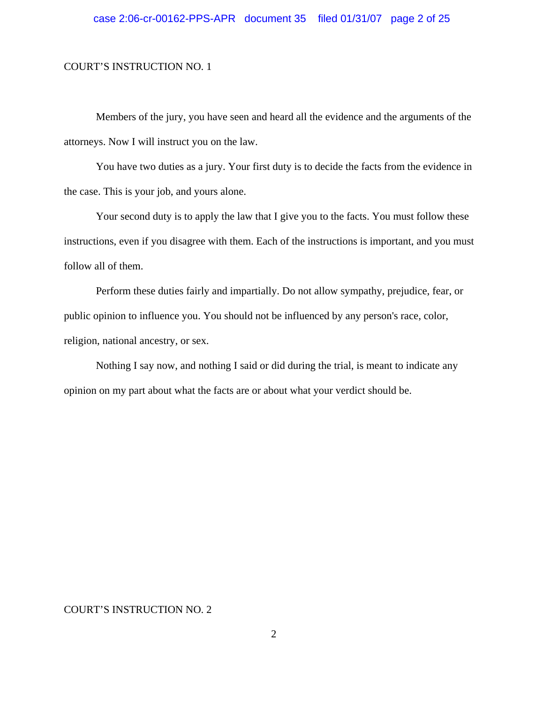Members of the jury, you have seen and heard all the evidence and the arguments of the attorneys. Now I will instruct you on the law.

You have two duties as a jury. Your first duty is to decide the facts from the evidence in the case. This is your job, and yours alone.

Your second duty is to apply the law that I give you to the facts. You must follow these instructions, even if you disagree with them. Each of the instructions is important, and you must follow all of them.

Perform these duties fairly and impartially. Do not allow sympathy, prejudice, fear, or public opinion to influence you. You should not be influenced by any person's race, color, religion, national ancestry, or sex.

Nothing I say now, and nothing I said or did during the trial, is meant to indicate any opinion on my part about what the facts are or about what your verdict should be.

#### COURT'S INSTRUCTION NO. 2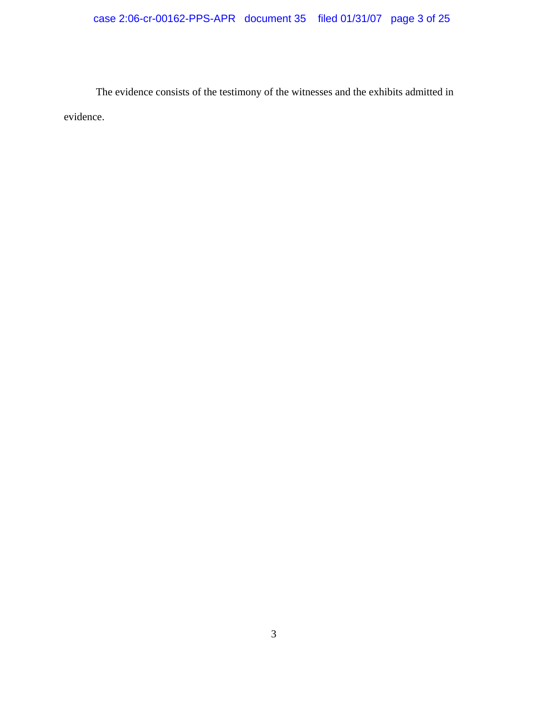# case 2:06-cr-00162-PPS-APR document 35 filed 01/31/07 page 3 of 25

The evidence consists of the testimony of the witnesses and the exhibits admitted in evidence.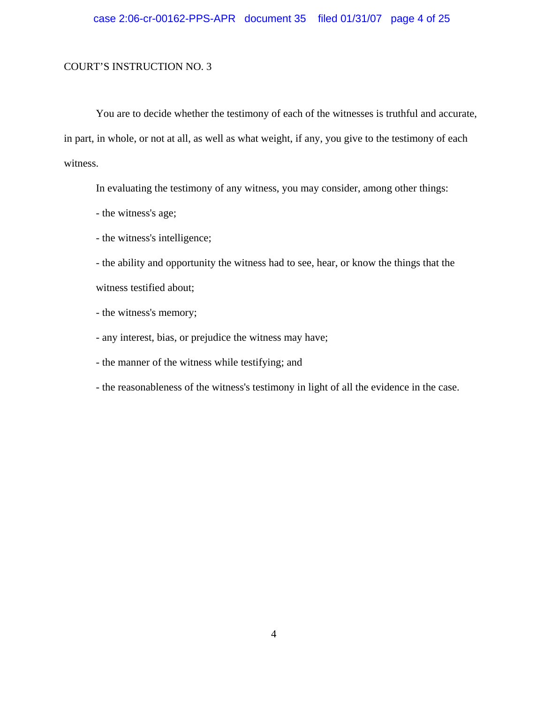You are to decide whether the testimony of each of the witnesses is truthful and accurate, in part, in whole, or not at all, as well as what weight, if any, you give to the testimony of each witness.

In evaluating the testimony of any witness, you may consider, among other things:

- the witness's age;
- the witness's intelligence;

- the ability and opportunity the witness had to see, hear, or know the things that the witness testified about;

- the witness's memory;
- any interest, bias, or prejudice the witness may have;
- the manner of the witness while testifying; and
- the reasonableness of the witness's testimony in light of all the evidence in the case.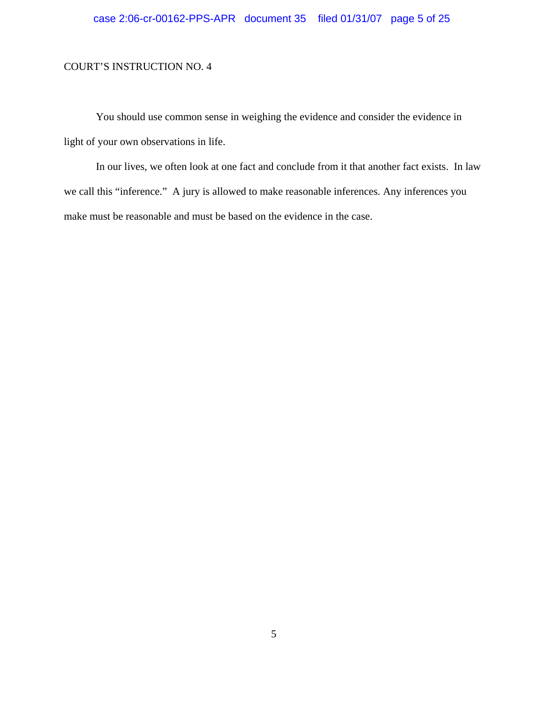# case 2:06-cr-00162-PPS-APR document 35 filed 01/31/07 page 5 of 25

### COURT'S INSTRUCTION NO. 4

You should use common sense in weighing the evidence and consider the evidence in light of your own observations in life.

In our lives, we often look at one fact and conclude from it that another fact exists. In law we call this "inference." A jury is allowed to make reasonable inferences. Any inferences you make must be reasonable and must be based on the evidence in the case.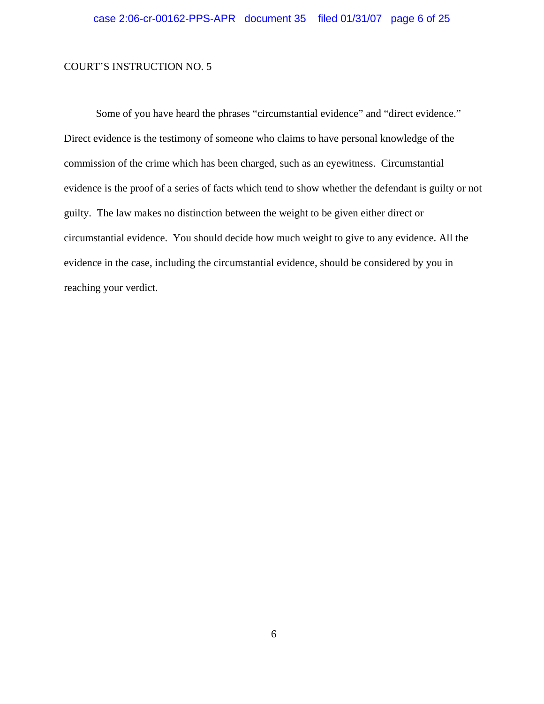Some of you have heard the phrases "circumstantial evidence" and "direct evidence." Direct evidence is the testimony of someone who claims to have personal knowledge of the commission of the crime which has been charged, such as an eyewitness. Circumstantial evidence is the proof of a series of facts which tend to show whether the defendant is guilty or not guilty. The law makes no distinction between the weight to be given either direct or circumstantial evidence. You should decide how much weight to give to any evidence. All the evidence in the case, including the circumstantial evidence, should be considered by you in reaching your verdict.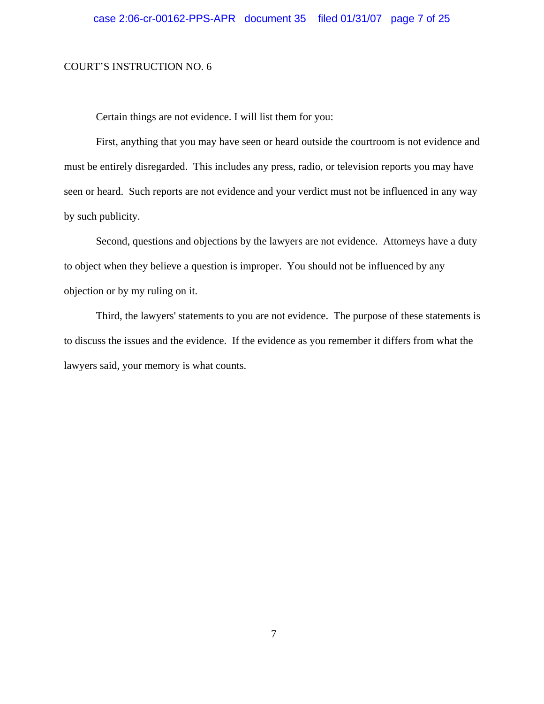Certain things are not evidence. I will list them for you:

First, anything that you may have seen or heard outside the courtroom is not evidence and must be entirely disregarded. This includes any press, radio, or television reports you may have seen or heard. Such reports are not evidence and your verdict must not be influenced in any way by such publicity.

Second, questions and objections by the lawyers are not evidence. Attorneys have a duty to object when they believe a question is improper. You should not be influenced by any objection or by my ruling on it.

Third, the lawyers' statements to you are not evidence. The purpose of these statements is to discuss the issues and the evidence. If the evidence as you remember it differs from what the lawyers said, your memory is what counts.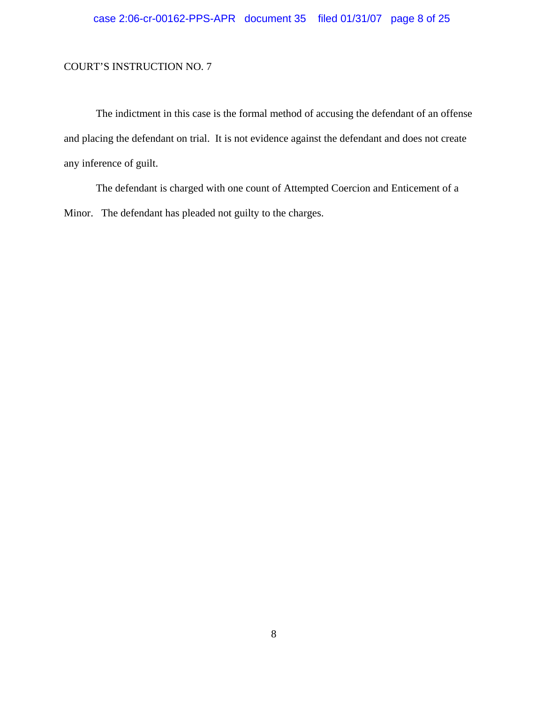The indictment in this case is the formal method of accusing the defendant of an offense and placing the defendant on trial. It is not evidence against the defendant and does not create any inference of guilt.

The defendant is charged with one count of Attempted Coercion and Enticement of a Minor. The defendant has pleaded not guilty to the charges.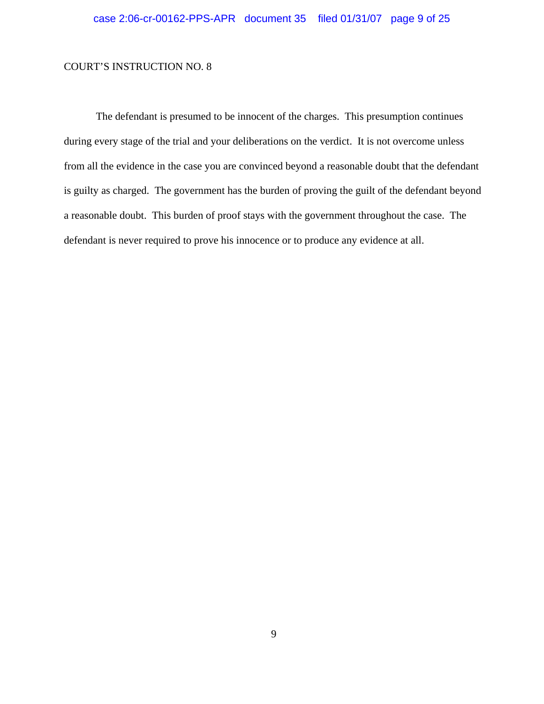The defendant is presumed to be innocent of the charges. This presumption continues during every stage of the trial and your deliberations on the verdict. It is not overcome unless from all the evidence in the case you are convinced beyond a reasonable doubt that the defendant is guilty as charged. The government has the burden of proving the guilt of the defendant beyond a reasonable doubt. This burden of proof stays with the government throughout the case. The defendant is never required to prove his innocence or to produce any evidence at all.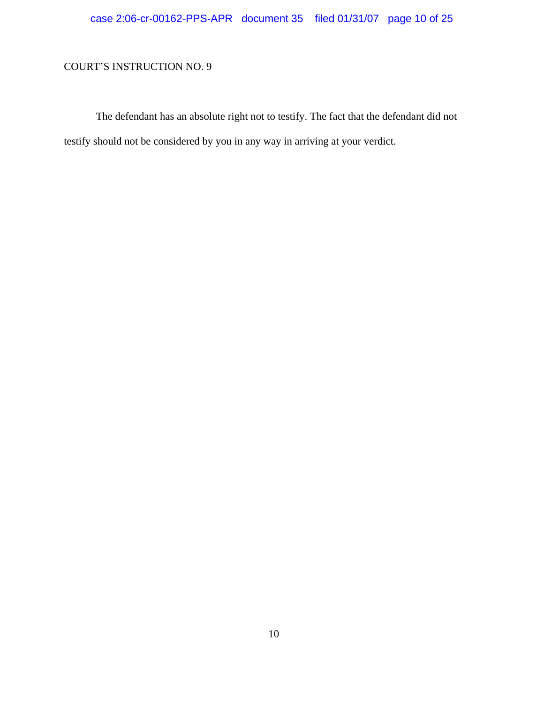# case 2:06-cr-00162-PPS-APR document 35 filed 01/31/07 page 10 of 25

# COURT'S INSTRUCTION NO. 9

The defendant has an absolute right not to testify. The fact that the defendant did not testify should not be considered by you in any way in arriving at your verdict.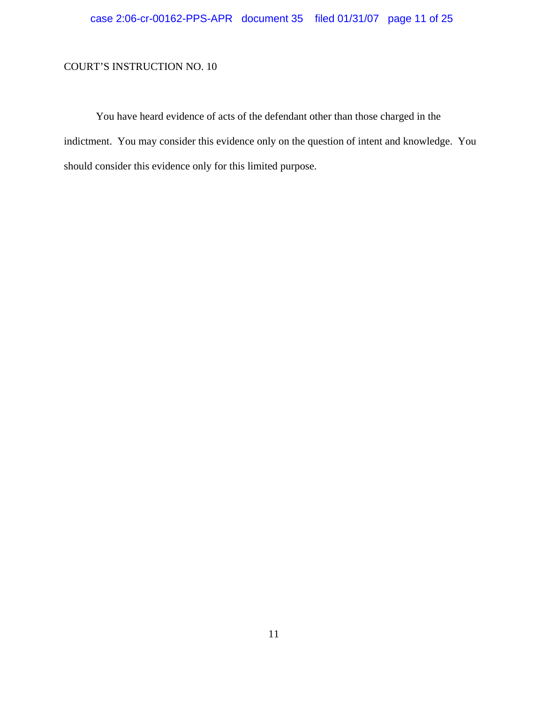You have heard evidence of acts of the defendant other than those charged in the indictment. You may consider this evidence only on the question of intent and knowledge. You should consider this evidence only for this limited purpose.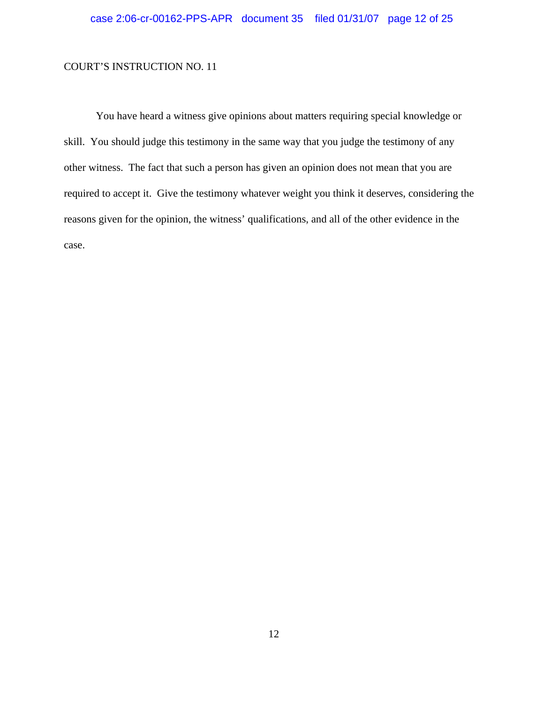You have heard a witness give opinions about matters requiring special knowledge or skill. You should judge this testimony in the same way that you judge the testimony of any other witness. The fact that such a person has given an opinion does not mean that you are required to accept it. Give the testimony whatever weight you think it deserves, considering the reasons given for the opinion, the witness' qualifications, and all of the other evidence in the case.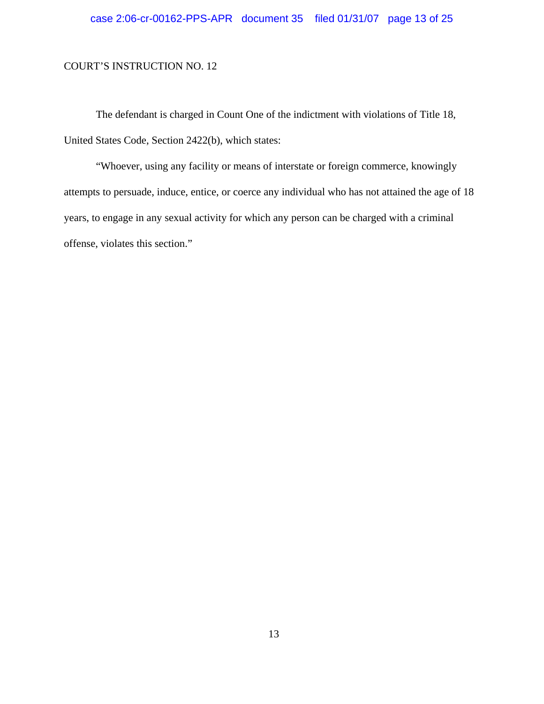The defendant is charged in Count One of the indictment with violations of Title 18, United States Code, Section 2422(b), which states:

"Whoever, using any facility or means of interstate or foreign commerce, knowingly attempts to persuade, induce, entice, or coerce any individual who has not attained the age of 18 years, to engage in any sexual activity for which any person can be charged with a criminal offense, violates this section."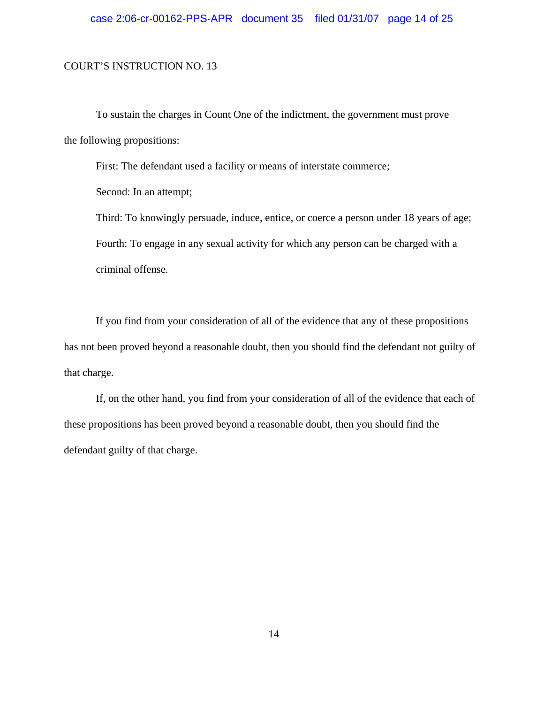To sustain the charges in Count One of the indictment, the government must prove the following propositions:

First: The defendant used a facility or means of interstate commerce;

Second: In an attempt;

Third: To knowingly persuade, induce, entice, or coerce a person under 18 years of age; Fourth: To engage in any sexual activity for which any person can be charged with a criminal offense.

If you find from your consideration of all of the evidence that any of these propositions has not been proved beyond a reasonable doubt, then you should find the defendant not guilty of that charge.

If, on the other hand, you find from your consideration of all of the evidence that each of these propositions has been proved beyond a reasonable doubt, then you should find the defendant guilty of that charge.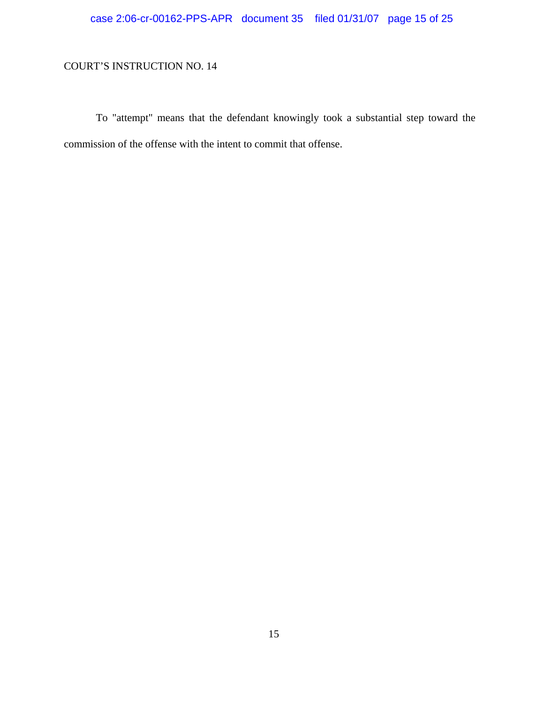# case 2:06-cr-00162-PPS-APR document 35 filed 01/31/07 page 15 of 25

# COURT'S INSTRUCTION NO. 14

To "attempt" means that the defendant knowingly took a substantial step toward the commission of the offense with the intent to commit that offense.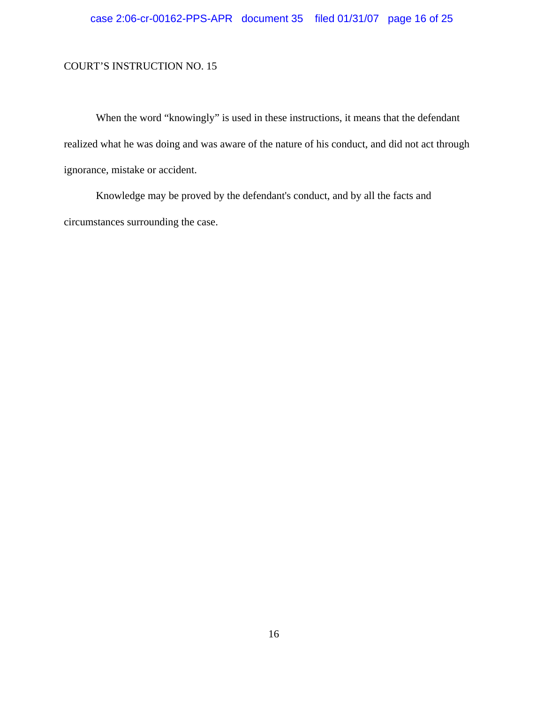# case 2:06-cr-00162-PPS-APR document 35 filed 01/31/07 page 16 of 25

### COURT'S INSTRUCTION NO. 15

When the word "knowingly" is used in these instructions, it means that the defendant realized what he was doing and was aware of the nature of his conduct, and did not act through ignorance, mistake or accident.

Knowledge may be proved by the defendant's conduct, and by all the facts and circumstances surrounding the case.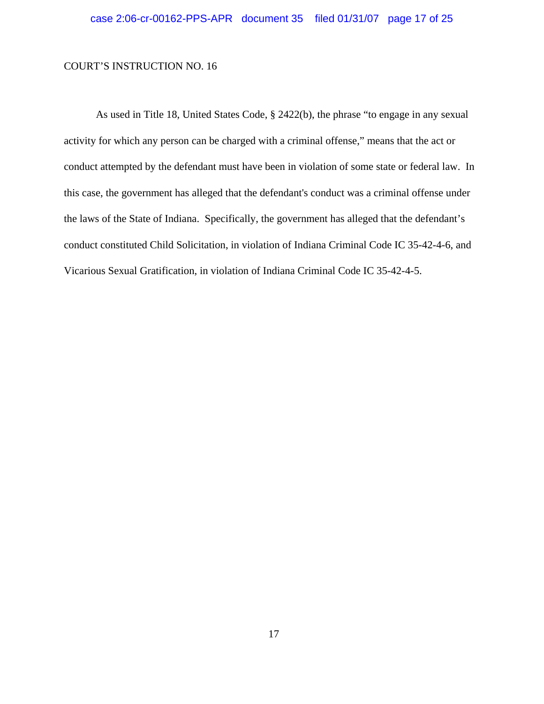As used in Title 18, United States Code, § 2422(b), the phrase "to engage in any sexual activity for which any person can be charged with a criminal offense," means that the act or conduct attempted by the defendant must have been in violation of some state or federal law. In this case, the government has alleged that the defendant's conduct was a criminal offense under the laws of the State of Indiana. Specifically, the government has alleged that the defendant's conduct constituted Child Solicitation, in violation of Indiana Criminal Code IC 35-42-4-6, and Vicarious Sexual Gratification, in violation of Indiana Criminal Code IC 35-42-4-5.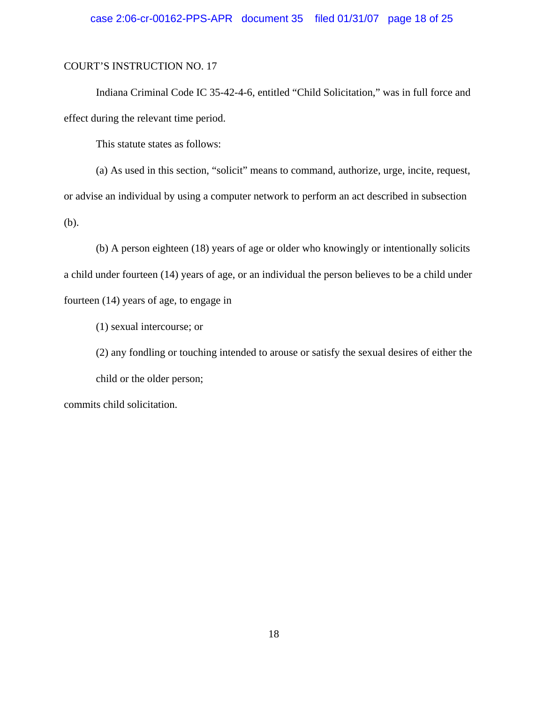### case 2:06-cr-00162-PPS-APR document 35 filed 01/31/07 page 18 of 25

#### COURT'S INSTRUCTION NO. 17

Indiana Criminal Code IC 35-42-4-6, entitled "Child Solicitation," was in full force and effect during the relevant time period.

This statute states as follows:

(a) As used in this section, "solicit" means to command, authorize, urge, incite, request, or advise an individual by using a computer network to perform an act described in subsection (b).

(b) A person eighteen (18) years of age or older who knowingly or intentionally solicits a child under fourteen (14) years of age, or an individual the person believes to be a child under fourteen (14) years of age, to engage in

(1) sexual intercourse; or

(2) any fondling or touching intended to arouse or satisfy the sexual desires of either the child or the older person;

commits child solicitation.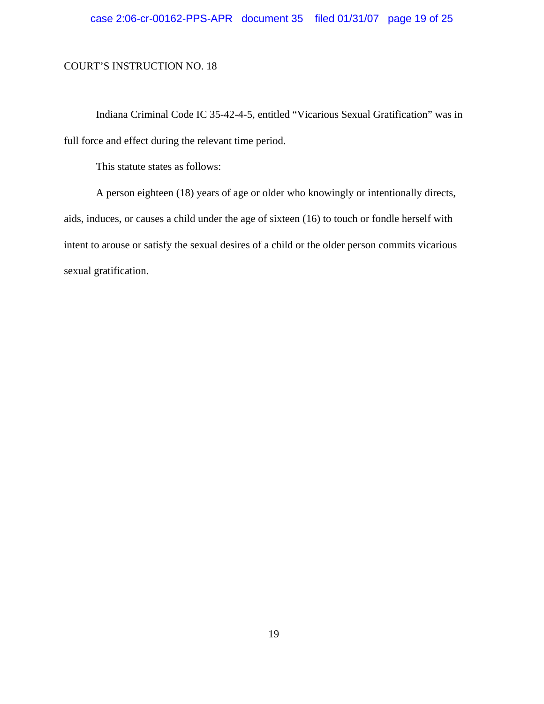Indiana Criminal Code IC 35-42-4-5, entitled "Vicarious Sexual Gratification" was in full force and effect during the relevant time period.

This statute states as follows:

A person eighteen (18) years of age or older who knowingly or intentionally directs, aids, induces, or causes a child under the age of sixteen (16) to touch or fondle herself with intent to arouse or satisfy the sexual desires of a child or the older person commits vicarious sexual gratification.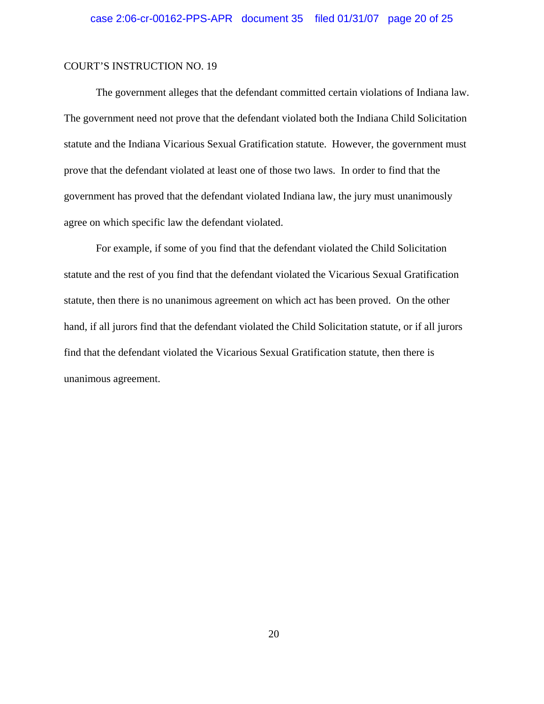The government alleges that the defendant committed certain violations of Indiana law. The government need not prove that the defendant violated both the Indiana Child Solicitation statute and the Indiana Vicarious Sexual Gratification statute. However, the government must prove that the defendant violated at least one of those two laws. In order to find that the government has proved that the defendant violated Indiana law, the jury must unanimously agree on which specific law the defendant violated.

For example, if some of you find that the defendant violated the Child Solicitation statute and the rest of you find that the defendant violated the Vicarious Sexual Gratification statute, then there is no unanimous agreement on which act has been proved. On the other hand, if all jurors find that the defendant violated the Child Solicitation statute, or if all jurors find that the defendant violated the Vicarious Sexual Gratification statute, then there is unanimous agreement.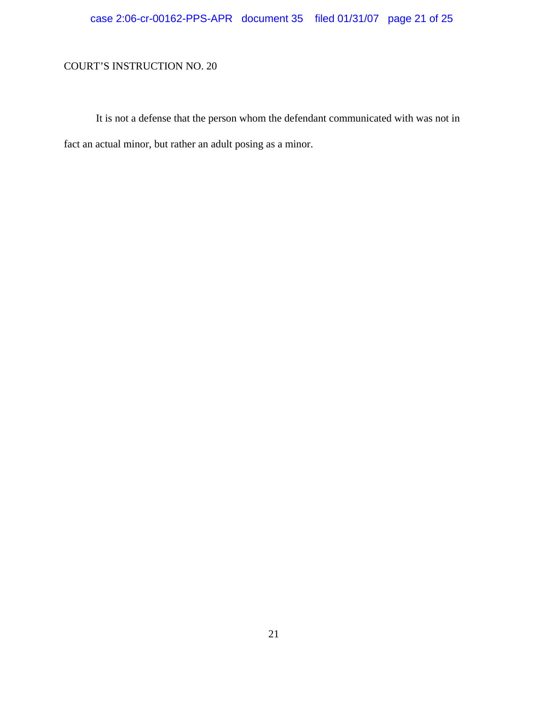# case 2:06-cr-00162-PPS-APR document 35 filed 01/31/07 page 21 of 25

# COURT'S INSTRUCTION NO. 20

It is not a defense that the person whom the defendant communicated with was not in fact an actual minor, but rather an adult posing as a minor.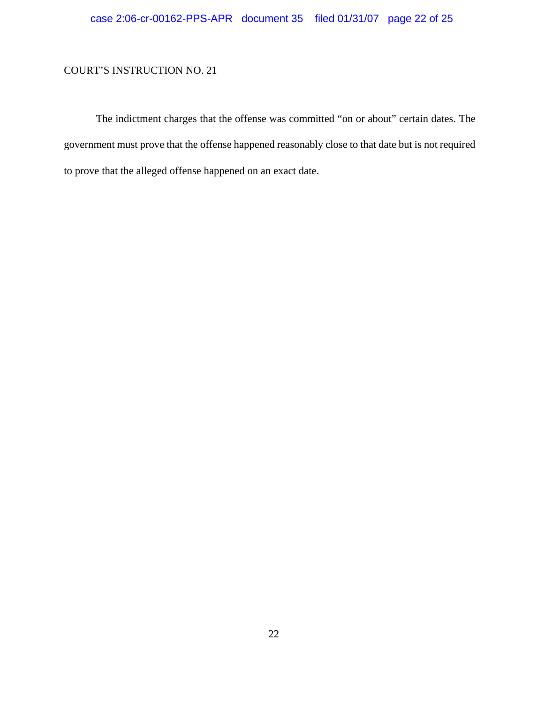The indictment charges that the offense was committed "on or about" certain dates. The government must prove that the offense happened reasonably close to that date but is not required to prove that the alleged offense happened on an exact date.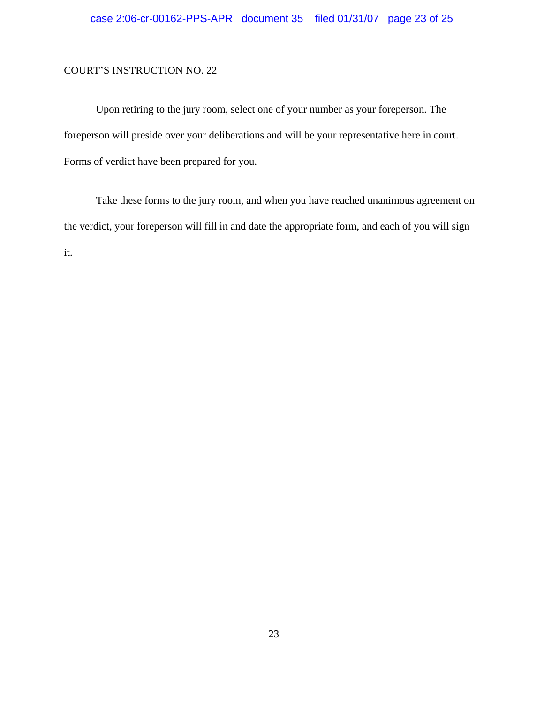Upon retiring to the jury room, select one of your number as your foreperson. The foreperson will preside over your deliberations and will be your representative here in court. Forms of verdict have been prepared for you.

Take these forms to the jury room, and when you have reached unanimous agreement on the verdict, your foreperson will fill in and date the appropriate form, and each of you will sign it.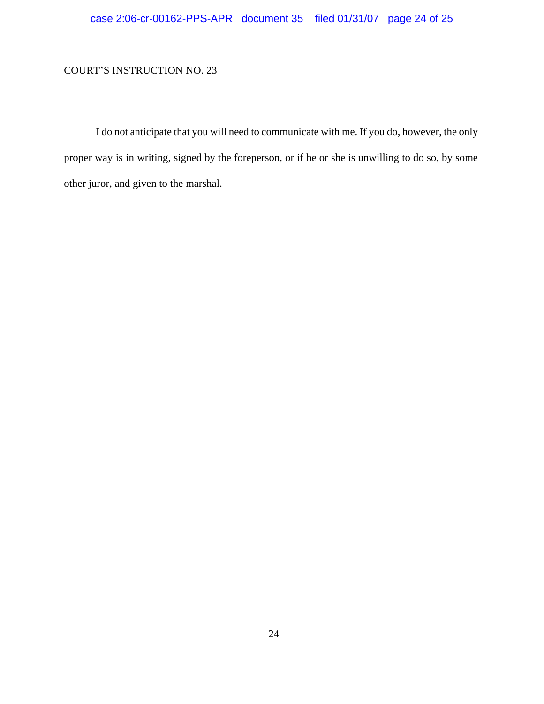I do not anticipate that you will need to communicate with me. If you do, however, the only proper way is in writing, signed by the foreperson, or if he or she is unwilling to do so, by some other juror, and given to the marshal.